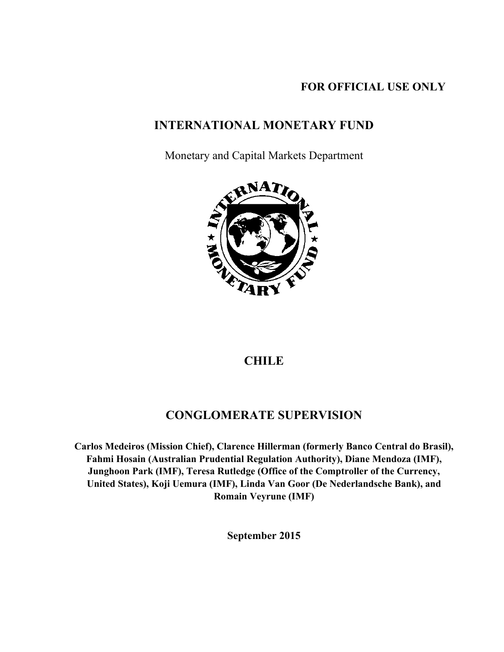### **FOR OFFICIAL USE ONLY**

## **INTERNATIONAL MONETARY FUND**

Monetary and Capital Markets Department



### **CHILE**

## **CONGLOMERATE SUPERVISION**

**Carlos Medeiros (Mission Chief), Clarence Hillerman (formerly Banco Central do Brasil), Fahmi Hosain (Australian Prudential Regulation Authority), Diane Mendoza (IMF), Junghoon Park (IMF), Teresa Rutledge (Office of the Comptroller of the Currency, United States), Koji Uemura (IMF), Linda Van Goor (De Nederlandsche Bank), and Romain Veyrune (IMF)** 

**September 2015**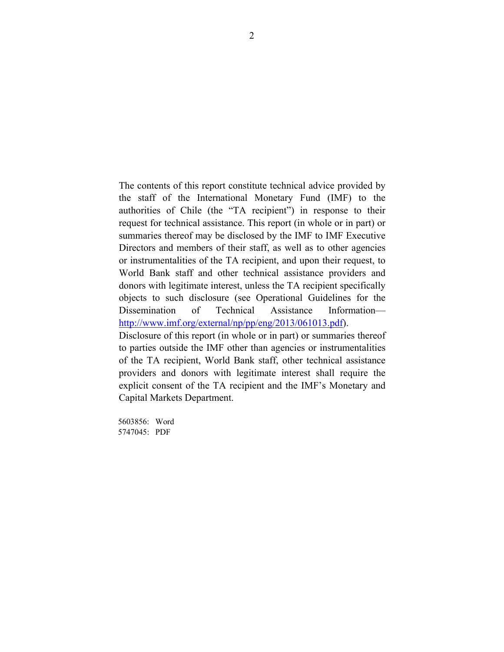The contents of this report constitute technical advice provided by the staff of the International Monetary Fund (IMF) to the authorities of Chile (the "TA recipient") in response to their request for technical assistance. This report (in whole or in part) or summaries thereof may be disclosed by the IMF to IMF Executive Directors and members of their staff, as well as to other agencies or instrumentalities of the TA recipient, and upon their request, to World Bank staff and other technical assistance providers and donors with legitimate interest, unless the TA recipient specifically objects to such disclosure (see Operational Guidelines for the Dissemination of Technical Assistance Information http://www.imf.org/external/np/pp/eng/2013/061013.pdf).

Disclosure of this report (in whole or in part) or summaries thereof to parties outside the IMF other than agencies or instrumentalities of the TA recipient, World Bank staff, other technical assistance providers and donors with legitimate interest shall require the explicit consent of the TA recipient and the IMF's Monetary and Capital Markets Department.

5603856: Word 5747045: PDF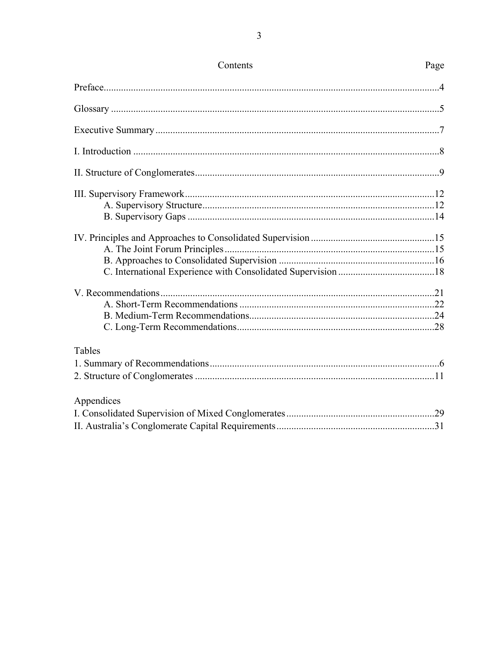| Tables     |  |
|------------|--|
|            |  |
|            |  |
|            |  |
| Appendices |  |
|            |  |
|            |  |

### Contents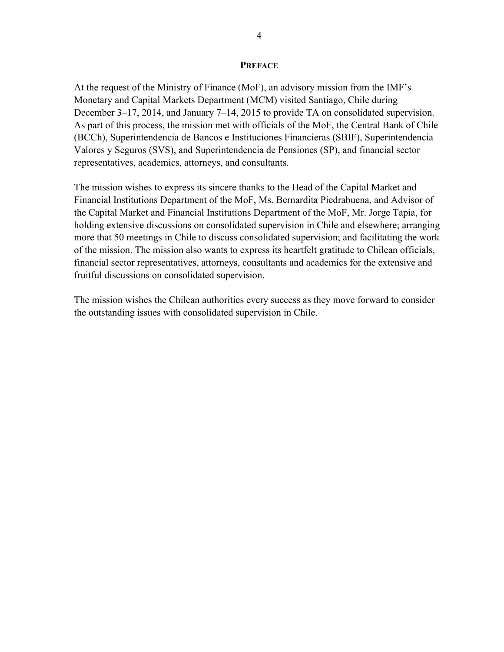#### **PREFACE**

At the request of the Ministry of Finance (MoF), an advisory mission from the IMF's Monetary and Capital Markets Department (MCM) visited Santiago, Chile during December 3–17, 2014, and January 7–14, 2015 to provide TA on consolidated supervision. As part of this process, the mission met with officials of the MoF, the Central Bank of Chile (BCCh), Superintendencia de Bancos e Instituciones Financieras (SBIF), Superintendencia Valores y Seguros (SVS), and Superintendencia de Pensiones (SP), and financial sector representatives, academics, attorneys, and consultants.

The mission wishes to express its sincere thanks to the Head of the Capital Market and Financial Institutions Department of the MoF, Ms. Bernardita Piedrabuena, and Advisor of the Capital Market and Financial Institutions Department of the MoF, Mr. Jorge Tapia, for holding extensive discussions on consolidated supervision in Chile and elsewhere; arranging more that 50 meetings in Chile to discuss consolidated supervision; and facilitating the work of the mission. The mission also wants to express its heartfelt gratitude to Chilean officials, financial sector representatives, attorneys, consultants and academics for the extensive and fruitful discussions on consolidated supervision.

The mission wishes the Chilean authorities every success as they move forward to consider the outstanding issues with consolidated supervision in Chile.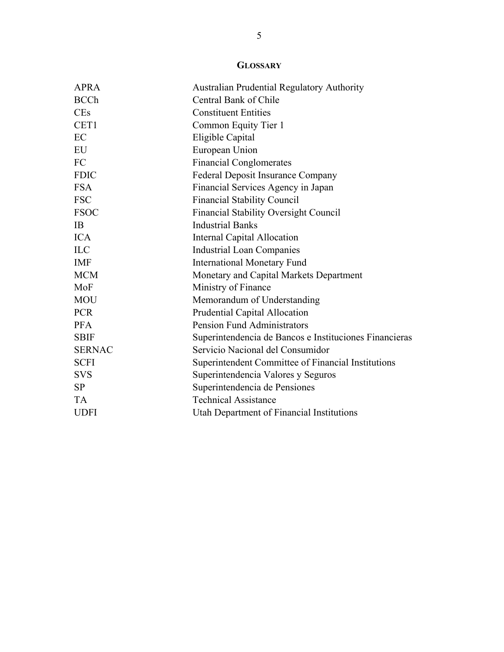### **GLOSSARY**

| <b>APRA</b>   | <b>Australian Prudential Regulatory Authority</b>      |
|---------------|--------------------------------------------------------|
| <b>BCCh</b>   | Central Bank of Chile                                  |
| <b>CEs</b>    | <b>Constituent Entities</b>                            |
| CET1          | Common Equity Tier 1                                   |
| EC            | Eligible Capital                                       |
| EU            | European Union                                         |
| FC            | <b>Financial Conglomerates</b>                         |
| <b>FDIC</b>   | <b>Federal Deposit Insurance Company</b>               |
| <b>FSA</b>    | Financial Services Agency in Japan                     |
| <b>FSC</b>    | <b>Financial Stability Council</b>                     |
| <b>FSOC</b>   | <b>Financial Stability Oversight Council</b>           |
| IB            | <b>Industrial Banks</b>                                |
| <b>ICA</b>    | Internal Capital Allocation                            |
| <b>ILC</b>    | <b>Industrial Loan Companies</b>                       |
| <b>IMF</b>    | <b>International Monetary Fund</b>                     |
| <b>MCM</b>    | Monetary and Capital Markets Department                |
| MoF           | Ministry of Finance                                    |
| <b>MOU</b>    | Memorandum of Understanding                            |
| <b>PCR</b>    | Prudential Capital Allocation                          |
| <b>PFA</b>    | <b>Pension Fund Administrators</b>                     |
| <b>SBIF</b>   | Superintendencia de Bancos e Instituciones Financieras |
| <b>SERNAC</b> | Servicio Nacional del Consumidor                       |
| <b>SCFI</b>   | Superintendent Committee of Financial Institutions     |
| <b>SVS</b>    | Superintendencia Valores y Seguros                     |
| <b>SP</b>     | Superintendencia de Pensiones                          |
| <b>TA</b>     | <b>Technical Assistance</b>                            |
| <b>UDFI</b>   | Utah Department of Financial Institutions              |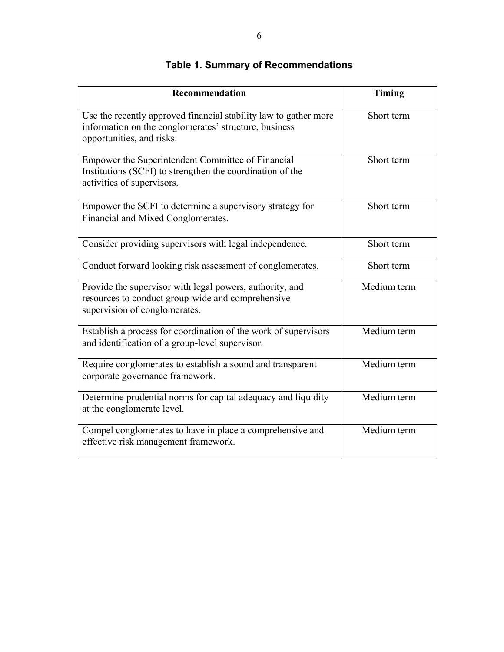| Recommendation                                                                                                                                         | Timing                           |
|--------------------------------------------------------------------------------------------------------------------------------------------------------|----------------------------------|
| Use the recently approved financial stability law to gather more<br>information on the conglomerates' structure, business<br>opportunities, and risks. | Short term                       |
| Empower the Superintendent Committee of Financial<br>Institutions (SCFI) to strengthen the coordination of the<br>activities of supervisors.           | Short term                       |
| Empower the SCFI to determine a supervisory strategy for<br>Financial and Mixed Conglomerates.                                                         | Short term                       |
| Consider providing supervisors with legal independence.                                                                                                | Short term                       |
| Conduct forward looking risk assessment of conglomerates.                                                                                              | Short term                       |
| Provide the supervisor with legal powers, authority, and<br>resources to conduct group-wide and comprehensive<br>supervision of conglomerates.         | Medium term                      |
| Establish a process for coordination of the work of supervisors<br>and identification of a group-level supervisor.                                     | Medium term                      |
| Require conglomerates to establish a sound and transparent<br>corporate governance framework.                                                          | $\overline{\text{M}}$ edium term |
| Determine prudential norms for capital adequacy and liquidity<br>at the conglomerate level.                                                            | Medium term                      |
| Compel conglomerates to have in place a comprehensive and<br>effective risk management framework.                                                      | Medium term                      |

# **Table 1. Summary of Recommendations**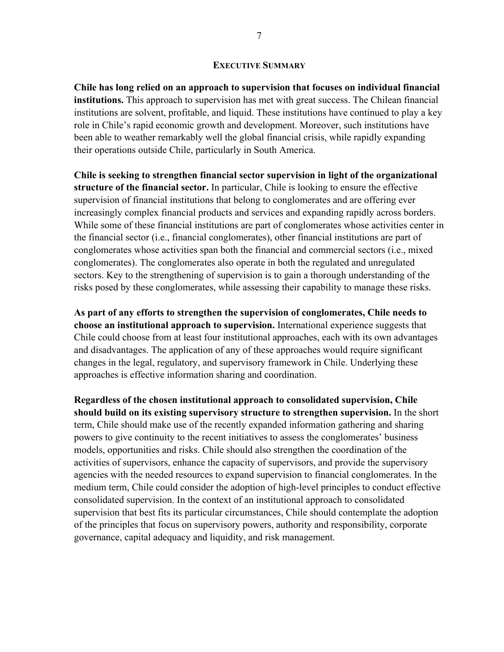#### **EXECUTIVE SUMMARY**

**Chile has long relied on an approach to supervision that focuses on individual financial institutions.** This approach to supervision has met with great success. The Chilean financial institutions are solvent, profitable, and liquid. These institutions have continued to play a key role in Chile's rapid economic growth and development. Moreover, such institutions have been able to weather remarkably well the global financial crisis, while rapidly expanding their operations outside Chile, particularly in South America.

**Chile is seeking to strengthen financial sector supervision in light of the organizational structure of the financial sector.** In particular, Chile is looking to ensure the effective supervision of financial institutions that belong to conglomerates and are offering ever increasingly complex financial products and services and expanding rapidly across borders. While some of these financial institutions are part of conglomerates whose activities center in the financial sector (i.e., financial conglomerates), other financial institutions are part of conglomerates whose activities span both the financial and commercial sectors (i.e., mixed conglomerates). The conglomerates also operate in both the regulated and unregulated sectors. Key to the strengthening of supervision is to gain a thorough understanding of the risks posed by these conglomerates, while assessing their capability to manage these risks.

**As part of any efforts to strengthen the supervision of conglomerates, Chile needs to choose an institutional approach to supervision.** International experience suggests that Chile could choose from at least four institutional approaches, each with its own advantages and disadvantages. The application of any of these approaches would require significant changes in the legal, regulatory, and supervisory framework in Chile. Underlying these approaches is effective information sharing and coordination.

**Regardless of the chosen institutional approach to consolidated supervision, Chile should build on its existing supervisory structure to strengthen supervision.** In the short term, Chile should make use of the recently expanded information gathering and sharing powers to give continuity to the recent initiatives to assess the conglomerates' business models, opportunities and risks. Chile should also strengthen the coordination of the activities of supervisors, enhance the capacity of supervisors, and provide the supervisory agencies with the needed resources to expand supervision to financial conglomerates. In the medium term, Chile could consider the adoption of high-level principles to conduct effective consolidated supervision. In the context of an institutional approach to consolidated supervision that best fits its particular circumstances, Chile should contemplate the adoption of the principles that focus on supervisory powers, authority and responsibility, corporate governance, capital adequacy and liquidity, and risk management.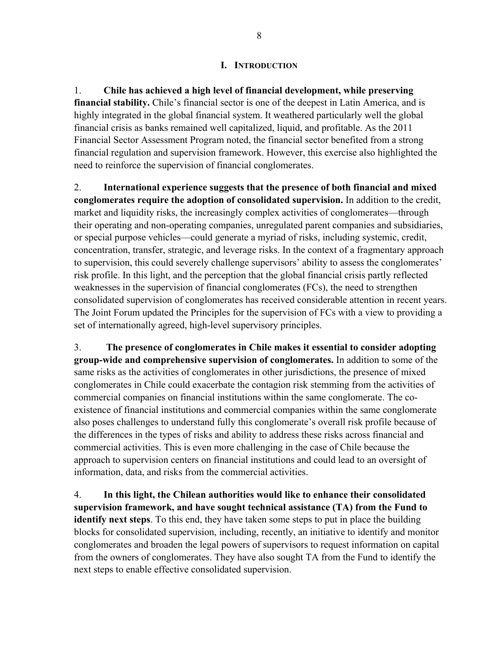#### **I. INTRODUCTION**

1. **Chile has achieved a high level of financial development, while preserving financial stability.** Chile's financial sector is one of the deepest in Latin America, and is highly integrated in the global financial system. It weathered particularly well the global financial crisis as banks remained well capitalized, liquid, and profitable. As the 2011 Financial Sector Assessment Program noted, the financial sector benefited from a strong financial regulation and supervision framework. However, this exercise also highlighted the need to reinforce the supervision of financial conglomerates.

2. **International experience suggests that the presence of both financial and mixed conglomerates require the adoption of consolidated supervision.** In addition to the credit, market and liquidity risks, the increasingly complex activities of conglomerates—through their operating and non-operating companies, unregulated parent companies and subsidiaries, or special purpose vehicles—could generate a myriad of risks, including systemic, credit, concentration, transfer, strategic, and leverage risks. In the context of a fragmentary approach to supervision, this could severely challenge supervisors' ability to assess the conglomerates' risk profile. In this light, and the perception that the global financial crisis partly reflected weaknesses in the supervision of financial conglomerates (FCs), the need to strengthen consolidated supervision of conglomerates has received considerable attention in recent years. The Joint Forum updated the Principles for the supervision of FCs with a view to providing a set of internationally agreed, high-level supervisory principles.

3. **The presence of conglomerates in Chile makes it essential to consider adopting group-wide and comprehensive supervision of conglomerates.** In addition to some of the same risks as the activities of conglomerates in other jurisdictions, the presence of mixed conglomerates in Chile could exacerbate the contagion risk stemming from the activities of commercial companies on financial institutions within the same conglomerate. The coexistence of financial institutions and commercial companies within the same conglomerate also poses challenges to understand fully this conglomerate's overall risk profile because of the differences in the types of risks and ability to address these risks across financial and commercial activities. This is even more challenging in the case of Chile because the approach to supervision centers on financial institutions and could lead to an oversight of information, data, and risks from the commercial activities.

4. **In this light, the Chilean authorities would like to enhance their consolidated supervision framework, and have sought technical assistance (TA) from the Fund to identify next steps**. To this end, they have taken some steps to put in place the building blocks for consolidated supervision, including, recently, an initiative to identify and monitor conglomerates and broaden the legal powers of supervisors to request information on capital from the owners of conglomerates. They have also sought TA from the Fund to identify the next steps to enable effective consolidated supervision.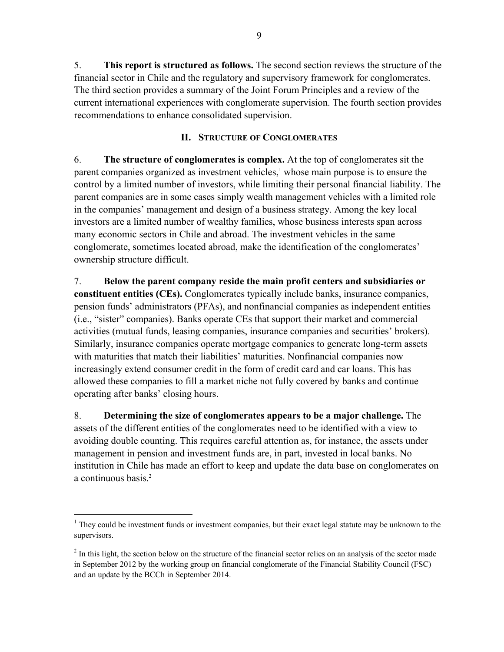5. **This report is structured as follows.** The second section reviews the structure of the financial sector in Chile and the regulatory and supervisory framework for conglomerates. The third section provides a summary of the Joint Forum Principles and a review of the current international experiences with conglomerate supervision. The fourth section provides recommendations to enhance consolidated supervision.

#### **II. STRUCTURE OF CONGLOMERATES**

6. **The structure of conglomerates is complex.** At the top of conglomerates sit the parent companies organized as investment vehicles,<sup>1</sup> whose main purpose is to ensure the control by a limited number of investors, while limiting their personal financial liability. The parent companies are in some cases simply wealth management vehicles with a limited role in the companies' management and design of a business strategy. Among the key local investors are a limited number of wealthy families, whose business interests span across many economic sectors in Chile and abroad. The investment vehicles in the same conglomerate, sometimes located abroad, make the identification of the conglomerates' ownership structure difficult.

7. **Below the parent company reside the main profit centers and subsidiaries or constituent entities (CEs).** Conglomerates typically include banks, insurance companies, pension funds' administrators (PFAs), and nonfinancial companies as independent entities (i.e., "sister" companies). Banks operate CEs that support their market and commercial activities (mutual funds, leasing companies, insurance companies and securities' brokers). Similarly, insurance companies operate mortgage companies to generate long-term assets with maturities that match their liabilities' maturities. Nonfinancial companies now increasingly extend consumer credit in the form of credit card and car loans. This has allowed these companies to fill a market niche not fully covered by banks and continue operating after banks' closing hours.

8. **Determining the size of conglomerates appears to be a major challenge.** The assets of the different entities of the conglomerates need to be identified with a view to avoiding double counting. This requires careful attention as, for instance, the assets under management in pension and investment funds are, in part, invested in local banks. No institution in Chile has made an effort to keep and update the data base on conglomerates on a continuous basis.<sup>2</sup>

1

 $1$  They could be investment funds or investment companies, but their exact legal statute may be unknown to the supervisors.

 $2<sup>2</sup>$  In this light, the section below on the structure of the financial sector relies on an analysis of the sector made in September 2012 by the working group on financial conglomerate of the Financial Stability Council (FSC) and an update by the BCCh in September 2014.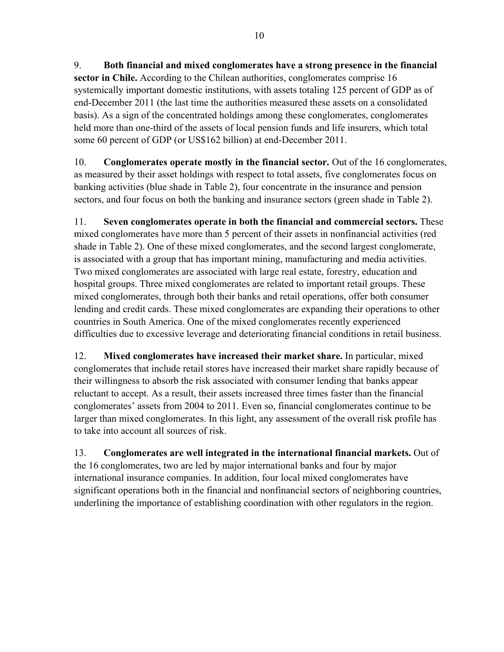9. **Both financial and mixed conglomerates have a strong presence in the financial sector in Chile.** According to the Chilean authorities, conglomerates comprise 16 systemically important domestic institutions, with assets totaling 125 percent of GDP as of end-December 2011 (the last time the authorities measured these assets on a consolidated basis). As a sign of the concentrated holdings among these conglomerates, conglomerates held more than one-third of the assets of local pension funds and life insurers, which total some 60 percent of GDP (or US\$162 billion) at end-December 2011.

10. **Conglomerates operate mostly in the financial sector.** Out of the 16 conglomerates, as measured by their asset holdings with respect to total assets, five conglomerates focus on banking activities (blue shade in Table 2), four concentrate in the insurance and pension sectors, and four focus on both the banking and insurance sectors (green shade in Table 2).

11. **Seven conglomerates operate in both the financial and commercial sectors.** These mixed conglomerates have more than 5 percent of their assets in nonfinancial activities (red shade in Table 2). One of these mixed conglomerates, and the second largest conglomerate, is associated with a group that has important mining, manufacturing and media activities. Two mixed conglomerates are associated with large real estate, forestry, education and hospital groups. Three mixed conglomerates are related to important retail groups. These mixed conglomerates, through both their banks and retail operations, offer both consumer lending and credit cards. These mixed conglomerates are expanding their operations to other countries in South America. One of the mixed conglomerates recently experienced difficulties due to excessive leverage and deteriorating financial conditions in retail business.

12. **Mixed conglomerates have increased their market share.** In particular, mixed conglomerates that include retail stores have increased their market share rapidly because of their willingness to absorb the risk associated with consumer lending that banks appear reluctant to accept. As a result, their assets increased three times faster than the financial conglomerates' assets from 2004 to 2011. Even so, financial conglomerates continue to be larger than mixed conglomerates. In this light, any assessment of the overall risk profile has to take into account all sources of risk.

13. **Conglomerates are well integrated in the international financial markets.** Out of the 16 conglomerates, two are led by major international banks and four by major international insurance companies. In addition, four local mixed conglomerates have significant operations both in the financial and nonfinancial sectors of neighboring countries, underlining the importance of establishing coordination with other regulators in the region.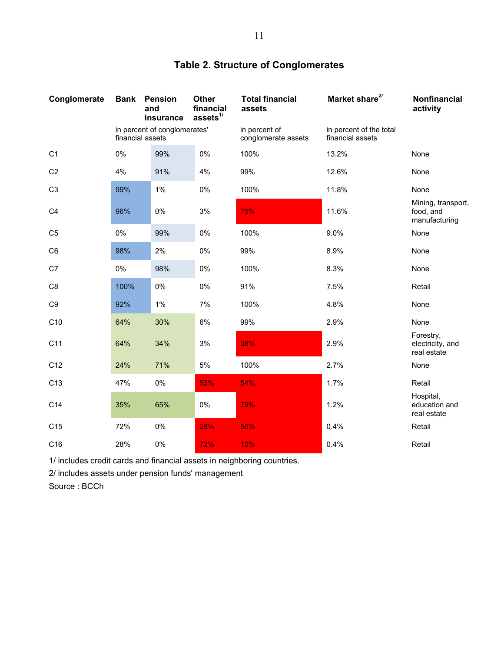| Conglomerate    | <b>Bank</b>                                      | <b>Pension</b><br>and<br>insurance | Other<br>financial<br>assets $1/$    | <b>Total financial</b><br>assets            | Market share <sup>2/</sup> | Nonfinancial<br>activity                         |
|-----------------|--------------------------------------------------|------------------------------------|--------------------------------------|---------------------------------------------|----------------------------|--------------------------------------------------|
|                 | in percent of conglomerates'<br>financial assets |                                    | in percent of<br>conglomerate assets | in percent of the total<br>financial assets |                            |                                                  |
| C <sub>1</sub>  | 0%                                               | 99%                                | 0%                                   | 100%                                        | 13.2%                      | None                                             |
| C <sub>2</sub>  | 4%                                               | 91%                                | 4%                                   | 99%                                         | 12.6%                      | None                                             |
| C <sub>3</sub>  | 99%                                              | 1%                                 | 0%                                   | 100%                                        | 11.8%                      | None                                             |
| C <sub>4</sub>  | 96%                                              | $0\%$                              | 3%                                   | 75%                                         | 11.6%                      | Mining, transport,<br>food, and<br>manufacturing |
| C <sub>5</sub>  | 0%                                               | 99%                                | 0%                                   | 100%                                        | 9.0%                       | None                                             |
| C <sub>6</sub>  | 98%                                              | 2%                                 | 0%                                   | 99%                                         | 8.9%                       | None                                             |
| C7              | $0\%$                                            | 98%                                | 0%                                   | 100%                                        | 8.3%                       | None                                             |
| C <sub>8</sub>  | 100%                                             | 0%                                 | 0%                                   | 91%                                         | 7.5%                       | Retail                                           |
| C <sub>9</sub>  | 92%                                              | 1%                                 | 7%                                   | 100%                                        | 4.8%                       | None                                             |
| C <sub>10</sub> | 64%                                              | 30%                                | 6%                                   | 99%                                         | 2.9%                       | None                                             |
| C <sub>11</sub> | 64%                                              | 34%                                | 3%                                   | 38%                                         | 2.9%                       | Forestry,<br>electricity, and<br>real estate     |
| C <sub>12</sub> | 24%                                              | 71%                                | 5%                                   | 100%                                        | 2.7%                       | None                                             |
| C <sub>13</sub> | 47%                                              | 0%                                 | 53%                                  | 54%                                         | 1.7%                       | Retail                                           |
| C14             | 35%                                              | 65%                                | 0%                                   | 79%                                         | 1.2%                       | Hospital,<br>education and<br>real estate        |
| C15             | 72%                                              | 0%                                 | 28%                                  | 56%                                         | 0.4%                       | Retail                                           |
| C16             | 28%                                              | 0%                                 | 72%                                  | 10%                                         | 0.4%                       | Retail                                           |

## **Table 2. Structure of Conglomerates**

1/ includes credit cards and financial assets in neighboring countries.

2/ includes assets under pension funds' management

Source : BCCh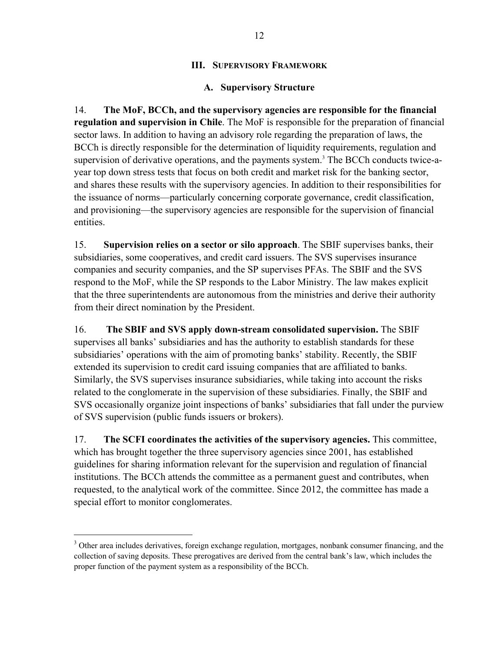#### **III. SUPERVISORY FRAMEWORK**

#### **A. Supervisory Structure**

14. **The MoF, BCCh, and the supervisory agencies are responsible for the financial regulation and supervision in Chile**. The MoF is responsible for the preparation of financial sector laws. In addition to having an advisory role regarding the preparation of laws, the BCCh is directly responsible for the determination of liquidity requirements, regulation and supervision of derivative operations, and the payments system.<sup>3</sup> The BCCh conducts twice-ayear top down stress tests that focus on both credit and market risk for the banking sector, and shares these results with the supervisory agencies. In addition to their responsibilities for the issuance of norms—particularly concerning corporate governance, credit classification, and provisioning—the supervisory agencies are responsible for the supervision of financial entities.

15. **Supervision relies on a sector or silo approach**. The SBIF supervises banks, their subsidiaries, some cooperatives, and credit card issuers. The SVS supervises insurance companies and security companies, and the SP supervises PFAs. The SBIF and the SVS respond to the MoF, while the SP responds to the Labor Ministry. The law makes explicit that the three superintendents are autonomous from the ministries and derive their authority from their direct nomination by the President.

16. **The SBIF and SVS apply down-stream consolidated supervision.** The SBIF supervises all banks' subsidiaries and has the authority to establish standards for these subsidiaries' operations with the aim of promoting banks' stability. Recently, the SBIF extended its supervision to credit card issuing companies that are affiliated to banks. Similarly, the SVS supervises insurance subsidiaries, while taking into account the risks related to the conglomerate in the supervision of these subsidiaries. Finally, the SBIF and SVS occasionally organize joint inspections of banks' subsidiaries that fall under the purview of SVS supervision (public funds issuers or brokers).

17. **The SCFI coordinates the activities of the supervisory agencies.** This committee, which has brought together the three supervisory agencies since 2001, has established guidelines for sharing information relevant for the supervision and regulation of financial institutions. The BCCh attends the committee as a permanent guest and contributes, when requested, to the analytical work of the committee. Since 2012, the committee has made a special effort to monitor conglomerates.

<sup>&</sup>lt;sup>3</sup> Other area includes derivatives, foreign exchange regulation, mortgages, nonbank consumer financing, and the collection of saving deposits. These prerogatives are derived from the central bank's law, which includes the proper function of the payment system as a responsibility of the BCCh.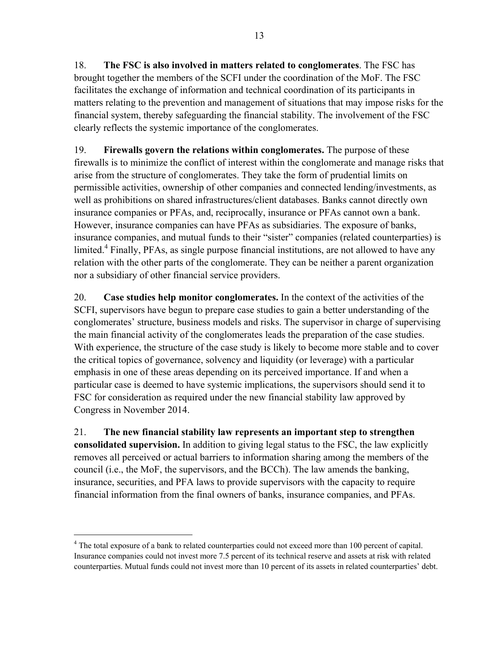18. **The FSC is also involved in matters related to conglomerates**. The FSC has brought together the members of the SCFI under the coordination of the MoF. The FSC facilitates the exchange of information and technical coordination of its participants in matters relating to the prevention and management of situations that may impose risks for the financial system, thereby safeguarding the financial stability. The involvement of the FSC clearly reflects the systemic importance of the conglomerates.

19. **Firewalls govern the relations within conglomerates.** The purpose of these firewalls is to minimize the conflict of interest within the conglomerate and manage risks that arise from the structure of conglomerates. They take the form of prudential limits on permissible activities, ownership of other companies and connected lending/investments, as well as prohibitions on shared infrastructures/client databases. Banks cannot directly own insurance companies or PFAs, and, reciprocally, insurance or PFAs cannot own a bank. However, insurance companies can have PFAs as subsidiaries. The exposure of banks, insurance companies, and mutual funds to their "sister" companies (related counterparties) is limited.<sup>4</sup> Finally, PFAs, as single purpose financial institutions, are not allowed to have any relation with the other parts of the conglomerate. They can be neither a parent organization nor a subsidiary of other financial service providers.

20. **Case studies help monitor conglomerates.** In the context of the activities of the SCFI, supervisors have begun to prepare case studies to gain a better understanding of the conglomerates' structure, business models and risks. The supervisor in charge of supervising the main financial activity of the conglomerates leads the preparation of the case studies. With experience, the structure of the case study is likely to become more stable and to cover the critical topics of governance, solvency and liquidity (or leverage) with a particular emphasis in one of these areas depending on its perceived importance. If and when a particular case is deemed to have systemic implications, the supervisors should send it to FSC for consideration as required under the new financial stability law approved by Congress in November 2014.

21. **The new financial stability law represents an important step to strengthen consolidated supervision.** In addition to giving legal status to the FSC, the law explicitly removes all perceived or actual barriers to information sharing among the members of the council (i.e., the MoF, the supervisors, and the BCCh). The law amends the banking, insurance, securities, and PFA laws to provide supervisors with the capacity to require financial information from the final owners of banks, insurance companies, and PFAs.

<sup>&</sup>lt;sup>4</sup> The total exposure of a bank to related counterparties could not exceed more than 100 percent of capital. Insurance companies could not invest more 7.5 percent of its technical reserve and assets at risk with related counterparties. Mutual funds could not invest more than 10 percent of its assets in related counterparties' debt.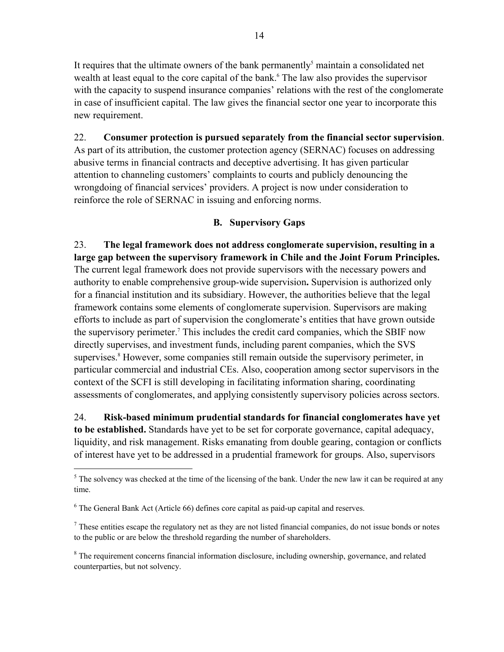It requires that the ultimate owners of the bank permanently<sup>5</sup> maintain a consolidated net wealth at least equal to the core capital of the bank.<sup>6</sup> The law also provides the supervisor with the capacity to suspend insurance companies' relations with the rest of the conglomerate in case of insufficient capital. The law gives the financial sector one year to incorporate this new requirement.

#### 22. **Consumer protection is pursued separately from the financial sector supervision**. As part of its attribution, the customer protection agency (SERNAC) focuses on addressing

abusive terms in financial contracts and deceptive advertising. It has given particular attention to channeling customers' complaints to courts and publicly denouncing the wrongdoing of financial services' providers. A project is now under consideration to reinforce the role of SERNAC in issuing and enforcing norms.

### **B. Supervisory Gaps**

23. **The legal framework does not address conglomerate supervision, resulting in a large gap between the supervisory framework in Chile and the Joint Forum Principles.** The current legal framework does not provide supervisors with the necessary powers and authority to enable comprehensive group-wide supervision**.** Supervision is authorized only for a financial institution and its subsidiary. However, the authorities believe that the legal framework contains some elements of conglomerate supervision. Supervisors are making efforts to include as part of supervision the conglomerate's entities that have grown outside the supervisory perimeter.<sup>7</sup> This includes the credit card companies, which the SBIF now directly supervises, and investment funds, including parent companies, which the SVS supervises.<sup>8</sup> However, some companies still remain outside the supervisory perimeter, in particular commercial and industrial CEs. Also, cooperation among sector supervisors in the context of the SCFI is still developing in facilitating information sharing, coordinating assessments of conglomerates, and applying consistently supervisory policies across sectors.

24. **Risk-based minimum prudential standards for financial conglomerates have yet to be established.** Standards have yet to be set for corporate governance, capital adequacy, liquidity, and risk management. Risks emanating from double gearing, contagion or conflicts of interest have yet to be addressed in a prudential framework for groups. Also, supervisors

 $<sup>5</sup>$  The solvency was checked at the time of the licensing of the bank. Under the new law it can be required at any</sup> time.

<sup>&</sup>lt;sup>6</sup> The General Bank Act (Article 66) defines core capital as paid-up capital and reserves.

 $<sup>7</sup>$  These entities escape the regulatory net as they are not listed financial companies, do not issue bonds or notes</sup> to the public or are below the threshold regarding the number of shareholders.

<sup>&</sup>lt;sup>8</sup> The requirement concerns financial information disclosure, including ownership, governance, and related counterparties, but not solvency.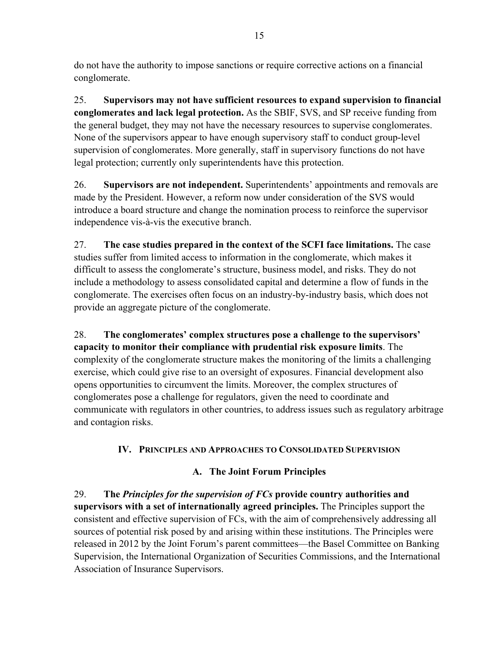do not have the authority to impose sanctions or require corrective actions on a financial conglomerate.

25. **Supervisors may not have sufficient resources to expand supervision to financial conglomerates and lack legal protection.** As the SBIF, SVS, and SP receive funding from the general budget, they may not have the necessary resources to supervise conglomerates. None of the supervisors appear to have enough supervisory staff to conduct group-level supervision of conglomerates. More generally, staff in supervisory functions do not have legal protection; currently only superintendents have this protection.

26. **Supervisors are not independent.** Superintendents' appointments and removals are made by the President. However, a reform now under consideration of the SVS would introduce a board structure and change the nomination process to reinforce the supervisor independence vis-à-vis the executive branch.

27. **The case studies prepared in the context of the SCFI face limitations.** The case studies suffer from limited access to information in the conglomerate, which makes it difficult to assess the conglomerate's structure, business model, and risks. They do not include a methodology to assess consolidated capital and determine a flow of funds in the conglomerate. The exercises often focus on an industry-by-industry basis, which does not provide an aggregate picture of the conglomerate.

28. **The conglomerates' complex structures pose a challenge to the supervisors' capacity to monitor their compliance with prudential risk exposure limits**. The complexity of the conglomerate structure makes the monitoring of the limits a challenging exercise, which could give rise to an oversight of exposures. Financial development also opens opportunities to circumvent the limits. Moreover, the complex structures of conglomerates pose a challenge for regulators, given the need to coordinate and communicate with regulators in other countries, to address issues such as regulatory arbitrage and contagion risks.

### **IV. PRINCIPLES AND APPROACHES TO CONSOLIDATED SUPERVISION**

### **A. The Joint Forum Principles**

29. **The** *Principles for the supervision of FCs* **provide country authorities and supervisors with a set of internationally agreed principles.** The Principles support the consistent and effective supervision of FCs, with the aim of comprehensively addressing all sources of potential risk posed by and arising within these institutions. The Principles were released in 2012 by the Joint Forum's parent committees—the Basel Committee on Banking Supervision, the International Organization of Securities Commissions, and the International Association of Insurance Supervisors.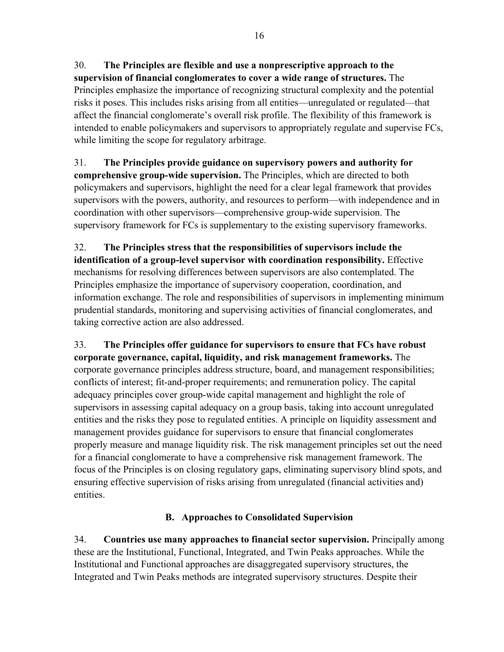30. **The Principles are flexible and use a nonprescriptive approach to the supervision of financial conglomerates to cover a wide range of structures.** The Principles emphasize the importance of recognizing structural complexity and the potential risks it poses. This includes risks arising from all entities—unregulated or regulated—that affect the financial conglomerate's overall risk profile. The flexibility of this framework is intended to enable policymakers and supervisors to appropriately regulate and supervise FCs, while limiting the scope for regulatory arbitrage.

31. **The Principles provide guidance on supervisory powers and authority for comprehensive group-wide supervision.** The Principles, which are directed to both policymakers and supervisors, highlight the need for a clear legal framework that provides supervisors with the powers, authority, and resources to perform—with independence and in coordination with other supervisors—comprehensive group-wide supervision. The supervisory framework for FCs is supplementary to the existing supervisory frameworks.

32. **The Principles stress that the responsibilities of supervisors include the identification of a group-level supervisor with coordination responsibility.** Effective mechanisms for resolving differences between supervisors are also contemplated. The Principles emphasize the importance of supervisory cooperation, coordination, and information exchange. The role and responsibilities of supervisors in implementing minimum prudential standards, monitoring and supervising activities of financial conglomerates, and taking corrective action are also addressed.

33. **The Principles offer guidance for supervisors to ensure that FCs have robust corporate governance, capital, liquidity, and risk management frameworks.** The corporate governance principles address structure, board, and management responsibilities; conflicts of interest; fit-and-proper requirements; and remuneration policy. The capital adequacy principles cover group-wide capital management and highlight the role of supervisors in assessing capital adequacy on a group basis, taking into account unregulated entities and the risks they pose to regulated entities. A principle on liquidity assessment and management provides guidance for supervisors to ensure that financial conglomerates properly measure and manage liquidity risk. The risk management principles set out the need for a financial conglomerate to have a comprehensive risk management framework. The focus of the Principles is on closing regulatory gaps, eliminating supervisory blind spots, and ensuring effective supervision of risks arising from unregulated (financial activities and) entities.

### **B. Approaches to Consolidated Supervision**

34. **Countries use many approaches to financial sector supervision.** Principally among these are the Institutional, Functional, Integrated, and Twin Peaks approaches. While the Institutional and Functional approaches are disaggregated supervisory structures, the Integrated and Twin Peaks methods are integrated supervisory structures. Despite their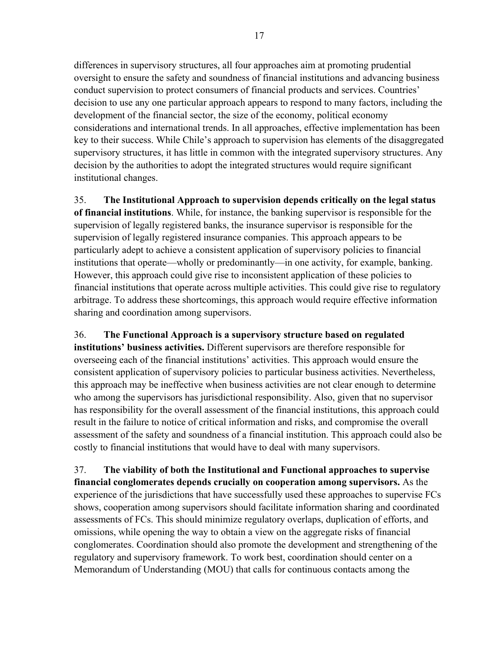differences in supervisory structures, all four approaches aim at promoting prudential oversight to ensure the safety and soundness of financial institutions and advancing business conduct supervision to protect consumers of financial products and services. Countries' decision to use any one particular approach appears to respond to many factors, including the development of the financial sector, the size of the economy, political economy considerations and international trends. In all approaches, effective implementation has been key to their success. While Chile's approach to supervision has elements of the disaggregated supervisory structures, it has little in common with the integrated supervisory structures. Any decision by the authorities to adopt the integrated structures would require significant institutional changes.

35. **The Institutional Approach to supervision depends critically on the legal status of financial institutions**. While, for instance, the banking supervisor is responsible for the supervision of legally registered banks, the insurance supervisor is responsible for the supervision of legally registered insurance companies. This approach appears to be particularly adept to achieve a consistent application of supervisory policies to financial institutions that operate—wholly or predominantly—in one activity, for example, banking. However, this approach could give rise to inconsistent application of these policies to financial institutions that operate across multiple activities. This could give rise to regulatory arbitrage. To address these shortcomings, this approach would require effective information sharing and coordination among supervisors.

36. **The Functional Approach is a supervisory structure based on regulated institutions' business activities.** Different supervisors are therefore responsible for overseeing each of the financial institutions' activities. This approach would ensure the consistent application of supervisory policies to particular business activities. Nevertheless, this approach may be ineffective when business activities are not clear enough to determine who among the supervisors has jurisdictional responsibility. Also, given that no supervisor has responsibility for the overall assessment of the financial institutions, this approach could result in the failure to notice of critical information and risks, and compromise the overall assessment of the safety and soundness of a financial institution. This approach could also be costly to financial institutions that would have to deal with many supervisors.

37. **The viability of both the Institutional and Functional approaches to supervise financial conglomerates depends crucially on cooperation among supervisors.** As the experience of the jurisdictions that have successfully used these approaches to supervise FCs shows, cooperation among supervisors should facilitate information sharing and coordinated assessments of FCs. This should minimize regulatory overlaps, duplication of efforts, and omissions, while opening the way to obtain a view on the aggregate risks of financial conglomerates. Coordination should also promote the development and strengthening of the regulatory and supervisory framework. To work best, coordination should center on a Memorandum of Understanding (MOU) that calls for continuous contacts among the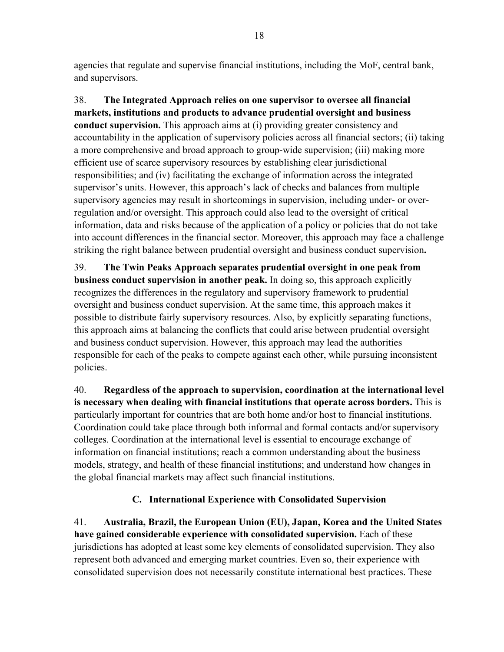agencies that regulate and supervise financial institutions, including the MoF, central bank, and supervisors.

38. **The Integrated Approach relies on one supervisor to oversee all financial markets, institutions and products to advance prudential oversight and business conduct supervision.** This approach aims at (i) providing greater consistency and accountability in the application of supervisory policies across all financial sectors; (ii) taking a more comprehensive and broad approach to group-wide supervision; (iii) making more efficient use of scarce supervisory resources by establishing clear jurisdictional responsibilities; and (iv) facilitating the exchange of information across the integrated supervisor's units. However, this approach's lack of checks and balances from multiple supervisory agencies may result in shortcomings in supervision, including under- or overregulation and/or oversight. This approach could also lead to the oversight of critical information, data and risks because of the application of a policy or policies that do not take into account differences in the financial sector. Moreover, this approach may face a challenge striking the right balance between prudential oversight and business conduct supervision**.** 

39. **The Twin Peaks Approach separates prudential oversight in one peak from business conduct supervision in another peak.** In doing so, this approach explicitly recognizes the differences in the regulatory and supervisory framework to prudential oversight and business conduct supervision. At the same time, this approach makes it possible to distribute fairly supervisory resources. Also, by explicitly separating functions, this approach aims at balancing the conflicts that could arise between prudential oversight and business conduct supervision. However, this approach may lead the authorities responsible for each of the peaks to compete against each other, while pursuing inconsistent policies.

40. **Regardless of the approach to supervision, coordination at the international level is necessary when dealing with financial institutions that operate across borders.** This is particularly important for countries that are both home and/or host to financial institutions. Coordination could take place through both informal and formal contacts and/or supervisory colleges. Coordination at the international level is essential to encourage exchange of information on financial institutions; reach a common understanding about the business models, strategy, and health of these financial institutions; and understand how changes in the global financial markets may affect such financial institutions.

### **C. International Experience with Consolidated Supervision**

41. **Australia, Brazil, the European Union (EU), Japan, Korea and the United States have gained considerable experience with consolidated supervision.** Each of these jurisdictions has adopted at least some key elements of consolidated supervision. They also represent both advanced and emerging market countries. Even so, their experience with consolidated supervision does not necessarily constitute international best practices. These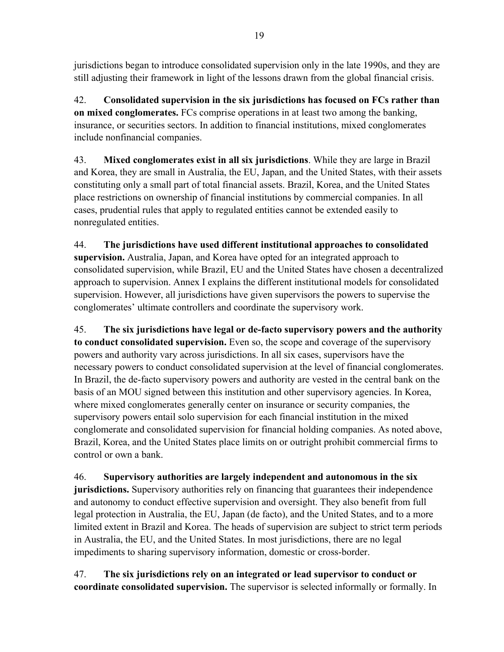jurisdictions began to introduce consolidated supervision only in the late 1990s, and they are still adjusting their framework in light of the lessons drawn from the global financial crisis.

42. **Consolidated supervision in the six jurisdictions has focused on FCs rather than on mixed conglomerates.** FCs comprise operations in at least two among the banking, insurance, or securities sectors. In addition to financial institutions, mixed conglomerates include nonfinancial companies.

43. **Mixed conglomerates exist in all six jurisdictions**. While they are large in Brazil and Korea, they are small in Australia, the EU, Japan, and the United States, with their assets constituting only a small part of total financial assets. Brazil, Korea, and the United States place restrictions on ownership of financial institutions by commercial companies. In all cases, prudential rules that apply to regulated entities cannot be extended easily to nonregulated entities.

44. **The jurisdictions have used different institutional approaches to consolidated supervision.** Australia, Japan, and Korea have opted for an integrated approach to consolidated supervision, while Brazil, EU and the United States have chosen a decentralized approach to supervision. Annex I explains the different institutional models for consolidated supervision. However, all jurisdictions have given supervisors the powers to supervise the conglomerates' ultimate controllers and coordinate the supervisory work.

45. **The six jurisdictions have legal or de-facto supervisory powers and the authority to conduct consolidated supervision.** Even so, the scope and coverage of the supervisory powers and authority vary across jurisdictions. In all six cases, supervisors have the necessary powers to conduct consolidated supervision at the level of financial conglomerates. In Brazil, the de-facto supervisory powers and authority are vested in the central bank on the basis of an MOU signed between this institution and other supervisory agencies. In Korea, where mixed conglomerates generally center on insurance or security companies, the supervisory powers entail solo supervision for each financial institution in the mixed conglomerate and consolidated supervision for financial holding companies. As noted above, Brazil, Korea, and the United States place limits on or outright prohibit commercial firms to control or own a bank.

46. **Supervisory authorities are largely independent and autonomous in the six jurisdictions.** Supervisory authorities rely on financing that guarantees their independence and autonomy to conduct effective supervision and oversight. They also benefit from full legal protection in Australia, the EU, Japan (de facto), and the United States, and to a more limited extent in Brazil and Korea. The heads of supervision are subject to strict term periods in Australia, the EU, and the United States. In most jurisdictions, there are no legal impediments to sharing supervisory information, domestic or cross-border.

47. **The six jurisdictions rely on an integrated or lead supervisor to conduct or coordinate consolidated supervision.** The supervisor is selected informally or formally. In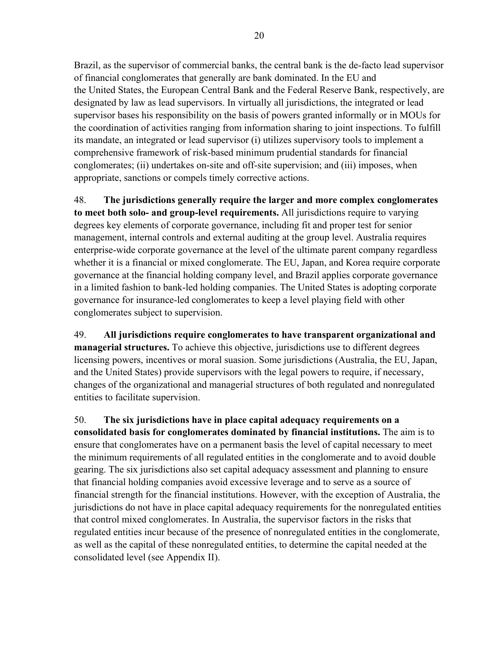Brazil, as the supervisor of commercial banks, the central bank is the de-facto lead supervisor of financial conglomerates that generally are bank dominated. In the EU and the United States, the European Central Bank and the Federal Reserve Bank, respectively, are designated by law as lead supervisors. In virtually all jurisdictions, the integrated or lead supervisor bases his responsibility on the basis of powers granted informally or in MOUs for the coordination of activities ranging from information sharing to joint inspections. To fulfill its mandate, an integrated or lead supervisor (i) utilizes supervisory tools to implement a comprehensive framework of risk-based minimum prudential standards for financial conglomerates; (ii) undertakes on-site and off-site supervision; and (iii) imposes, when appropriate, sanctions or compels timely corrective actions.

48. **The jurisdictions generally require the larger and more complex conglomerates to meet both solo- and group-level requirements.** All jurisdictions require to varying degrees key elements of corporate governance, including fit and proper test for senior management, internal controls and external auditing at the group level. Australia requires enterprise-wide corporate governance at the level of the ultimate parent company regardless whether it is a financial or mixed conglomerate. The EU, Japan, and Korea require corporate governance at the financial holding company level, and Brazil applies corporate governance in a limited fashion to bank-led holding companies. The United States is adopting corporate governance for insurance-led conglomerates to keep a level playing field with other conglomerates subject to supervision.

49. **All jurisdictions require conglomerates to have transparent organizational and managerial structures.** To achieve this objective, jurisdictions use to different degrees licensing powers, incentives or moral suasion. Some jurisdictions (Australia, the EU, Japan, and the United States) provide supervisors with the legal powers to require, if necessary, changes of the organizational and managerial structures of both regulated and nonregulated entities to facilitate supervision.

50. **The six jurisdictions have in place capital adequacy requirements on a consolidated basis for conglomerates dominated by financial institutions.** The aim is to ensure that conglomerates have on a permanent basis the level of capital necessary to meet the minimum requirements of all regulated entities in the conglomerate and to avoid double gearing. The six jurisdictions also set capital adequacy assessment and planning to ensure that financial holding companies avoid excessive leverage and to serve as a source of financial strength for the financial institutions. However, with the exception of Australia, the jurisdictions do not have in place capital adequacy requirements for the nonregulated entities that control mixed conglomerates. In Australia, the supervisor factors in the risks that regulated entities incur because of the presence of nonregulated entities in the conglomerate, as well as the capital of these nonregulated entities, to determine the capital needed at the consolidated level (see Appendix II).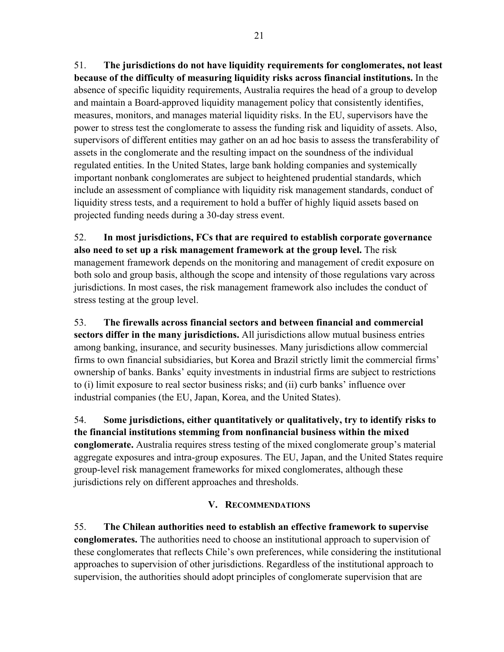51. **The jurisdictions do not have liquidity requirements for conglomerates, not least because of the difficulty of measuring liquidity risks across financial institutions.** In the absence of specific liquidity requirements, Australia requires the head of a group to develop and maintain a Board-approved liquidity management policy that consistently identifies, measures, monitors, and manages material liquidity risks. In the EU, supervisors have the power to stress test the conglomerate to assess the funding risk and liquidity of assets. Also, supervisors of different entities may gather on an ad hoc basis to assess the transferability of assets in the conglomerate and the resulting impact on the soundness of the individual regulated entities. In the United States, large bank holding companies and systemically important nonbank conglomerates are subject to heightened prudential standards, which include an assessment of compliance with liquidity risk management standards, conduct of liquidity stress tests, and a requirement to hold a buffer of highly liquid assets based on projected funding needs during a 30-day stress event.

52. **In most jurisdictions, FCs that are required to establish corporate governance also need to set up a risk management framework at the group level.** The risk management framework depends on the monitoring and management of credit exposure on both solo and group basis, although the scope and intensity of those regulations vary across jurisdictions. In most cases, the risk management framework also includes the conduct of stress testing at the group level.

53. **The firewalls across financial sectors and between financial and commercial sectors differ in the many jurisdictions.** All jurisdictions allow mutual business entries among banking, insurance, and security businesses. Many jurisdictions allow commercial firms to own financial subsidiaries, but Korea and Brazil strictly limit the commercial firms' ownership of banks. Banks' equity investments in industrial firms are subject to restrictions to (i) limit exposure to real sector business risks; and (ii) curb banks' influence over industrial companies (the EU, Japan, Korea, and the United States).

54. **Some jurisdictions, either quantitatively or qualitatively, try to identify risks to the financial institutions stemming from nonfinancial business within the mixed conglomerate.** Australia requires stress testing of the mixed conglomerate group's material aggregate exposures and intra-group exposures. The EU, Japan, and the United States require group-level risk management frameworks for mixed conglomerates, although these jurisdictions rely on different approaches and thresholds.

#### **V. RECOMMENDATIONS**

55. **The Chilean authorities need to establish an effective framework to supervise conglomerates.** The authorities need to choose an institutional approach to supervision of these conglomerates that reflects Chile's own preferences, while considering the institutional approaches to supervision of other jurisdictions. Regardless of the institutional approach to supervision, the authorities should adopt principles of conglomerate supervision that are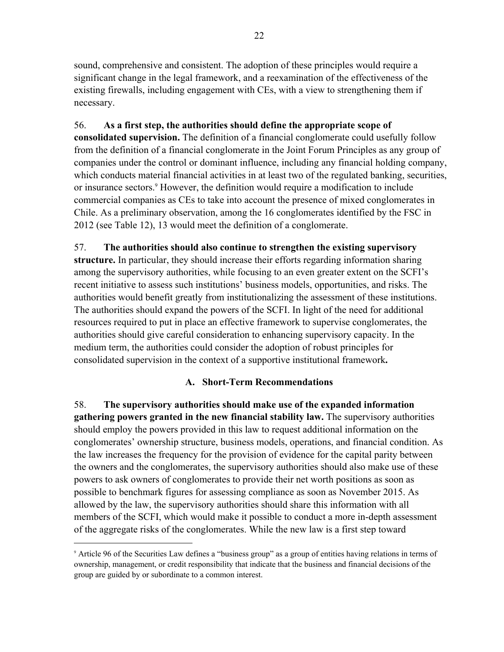sound, comprehensive and consistent. The adoption of these principles would require a significant change in the legal framework, and a reexamination of the effectiveness of the existing firewalls, including engagement with CEs, with a view to strengthening them if necessary.

56. **As a first step, the authorities should define the appropriate scope of consolidated supervision.** The definition of a financial conglomerate could usefully follow from the definition of a financial conglomerate in the Joint Forum Principles as any group of companies under the control or dominant influence, including any financial holding company, which conducts material financial activities in at least two of the regulated banking, securities, or insurance sectors.<sup>9</sup> However, the definition would require a modification to include commercial companies as CEs to take into account the presence of mixed conglomerates in Chile. As a preliminary observation, among the 16 conglomerates identified by the FSC in 2012 (see Table 12), 13 would meet the definition of a conglomerate.

# 57. **The authorities should also continue to strengthen the existing supervisory**

**structure.** In particular, they should increase their efforts regarding information sharing among the supervisory authorities, while focusing to an even greater extent on the SCFI's recent initiative to assess such institutions' business models, opportunities, and risks. The authorities would benefit greatly from institutionalizing the assessment of these institutions. The authorities should expand the powers of the SCFI. In light of the need for additional resources required to put in place an effective framework to supervise conglomerates, the authorities should give careful consideration to enhancing supervisory capacity. In the medium term, the authorities could consider the adoption of robust principles for consolidated supervision in the context of a supportive institutional framework**.** 

#### **A. Short-Term Recommendations**

58. **The supervisory authorities should make use of the expanded information gathering powers granted in the new financial stability law.** The supervisory authorities should employ the powers provided in this law to request additional information on the conglomerates' ownership structure, business models, operations, and financial condition. As the law increases the frequency for the provision of evidence for the capital parity between the owners and the conglomerates, the supervisory authorities should also make use of these powers to ask owners of conglomerates to provide their net worth positions as soon as possible to benchmark figures for assessing compliance as soon as November 2015. As allowed by the law, the supervisory authorities should share this information with all members of the SCFI, which would make it possible to conduct a more in-depth assessment of the aggregate risks of the conglomerates. While the new law is a first step toward

1

<sup>9</sup> Article 96 of the Securities Law defines a "business group" as a group of entities having relations in terms of ownership, management, or credit responsibility that indicate that the business and financial decisions of the group are guided by or subordinate to a common interest.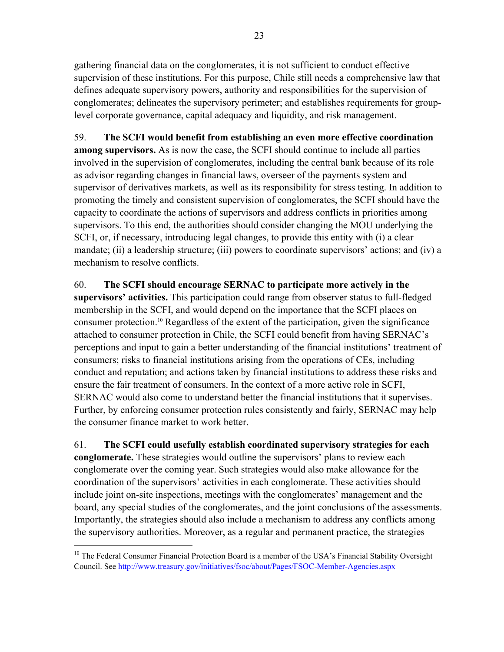gathering financial data on the conglomerates, it is not sufficient to conduct effective supervision of these institutions. For this purpose, Chile still needs a comprehensive law that defines adequate supervisory powers, authority and responsibilities for the supervision of conglomerates; delineates the supervisory perimeter; and establishes requirements for grouplevel corporate governance, capital adequacy and liquidity, and risk management.

59. **The SCFI would benefit from establishing an even more effective coordination among supervisors.** As is now the case, the SCFI should continue to include all parties involved in the supervision of conglomerates, including the central bank because of its role as advisor regarding changes in financial laws, overseer of the payments system and supervisor of derivatives markets, as well as its responsibility for stress testing. In addition to promoting the timely and consistent supervision of conglomerates, the SCFI should have the capacity to coordinate the actions of supervisors and address conflicts in priorities among supervisors. To this end, the authorities should consider changing the MOU underlying the SCFI, or, if necessary, introducing legal changes, to provide this entity with (i) a clear mandate; (ii) a leadership structure; (iii) powers to coordinate supervisors' actions; and (iv) a mechanism to resolve conflicts.

60. **The SCFI should encourage SERNAC to participate more actively in the supervisors' activities.** This participation could range from observer status to full-fledged membership in the SCFI, and would depend on the importance that the SCFI places on consumer protection.10 Regardless of the extent of the participation, given the significance attached to consumer protection in Chile, the SCFI could benefit from having SERNAC's perceptions and input to gain a better understanding of the financial institutions' treatment of consumers; risks to financial institutions arising from the operations of CEs, including conduct and reputation; and actions taken by financial institutions to address these risks and ensure the fair treatment of consumers. In the context of a more active role in SCFI, SERNAC would also come to understand better the financial institutions that it supervises. Further, by enforcing consumer protection rules consistently and fairly, SERNAC may help the consumer finance market to work better.

61. **The SCFI could usefully establish coordinated supervisory strategies for each conglomerate.** These strategies would outline the supervisors' plans to review each conglomerate over the coming year. Such strategies would also make allowance for the coordination of the supervisors' activities in each conglomerate. These activities should include joint on-site inspections, meetings with the conglomerates' management and the board, any special studies of the conglomerates, and the joint conclusions of the assessments. Importantly, the strategies should also include a mechanism to address any conflicts among the supervisory authorities. Moreover, as a regular and permanent practice, the strategies

<sup>&</sup>lt;sup>10</sup> The Federal Consumer Financial Protection Board is a member of the USA's Financial Stability Oversight Council. See http://www.treasury.gov/initiatives/fsoc/about/Pages/FSOC-Member-Agencies.aspx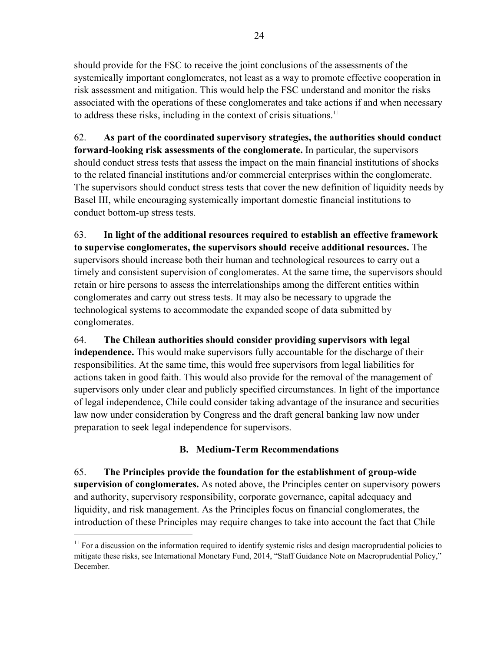should provide for the FSC to receive the joint conclusions of the assessments of the systemically important conglomerates, not least as a way to promote effective cooperation in risk assessment and mitigation. This would help the FSC understand and monitor the risks associated with the operations of these conglomerates and take actions if and when necessary to address these risks, including in the context of crisis situations.11

62. **As part of the coordinated supervisory strategies, the authorities should conduct forward-looking risk assessments of the conglomerate.** In particular, the supervisors should conduct stress tests that assess the impact on the main financial institutions of shocks to the related financial institutions and/or commercial enterprises within the conglomerate. The supervisors should conduct stress tests that cover the new definition of liquidity needs by Basel III, while encouraging systemically important domestic financial institutions to conduct bottom-up stress tests.

63. **In light of the additional resources required to establish an effective framework to supervise conglomerates, the supervisors should receive additional resources.** The supervisors should increase both their human and technological resources to carry out a timely and consistent supervision of conglomerates. At the same time, the supervisors should retain or hire persons to assess the interrelationships among the different entities within conglomerates and carry out stress tests. It may also be necessary to upgrade the technological systems to accommodate the expanded scope of data submitted by conglomerates.

64. **The Chilean authorities should consider providing supervisors with legal independence.** This would make supervisors fully accountable for the discharge of their responsibilities. At the same time, this would free supervisors from legal liabilities for actions taken in good faith. This would also provide for the removal of the management of supervisors only under clear and publicly specified circumstances. In light of the importance of legal independence, Chile could consider taking advantage of the insurance and securities law now under consideration by Congress and the draft general banking law now under preparation to seek legal independence for supervisors.

### **B. Medium-Term Recommendations**

65. **The Principles provide the foundation for the establishment of group-wide supervision of conglomerates.** As noted above, the Principles center on supervisory powers and authority, supervisory responsibility, corporate governance, capital adequacy and liquidity, and risk management. As the Principles focus on financial conglomerates, the introduction of these Principles may require changes to take into account the fact that Chile

 $11$  For a discussion on the information required to identify systemic risks and design macroprudential policies to mitigate these risks, see International Monetary Fund, 2014, "Staff Guidance Note on Macroprudential Policy," December.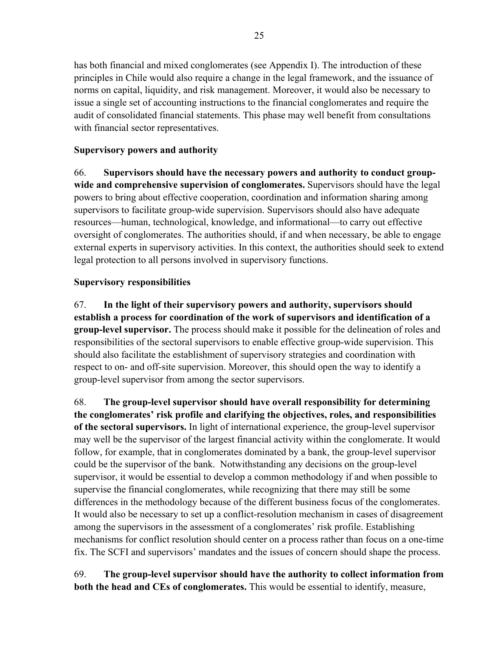has both financial and mixed conglomerates (see Appendix I). The introduction of these principles in Chile would also require a change in the legal framework, and the issuance of norms on capital, liquidity, and risk management. Moreover, it would also be necessary to issue a single set of accounting instructions to the financial conglomerates and require the audit of consolidated financial statements. This phase may well benefit from consultations with financial sector representatives.

#### **Supervisory powers and authority**

66. **Supervisors should have the necessary powers and authority to conduct groupwide and comprehensive supervision of conglomerates.** Supervisors should have the legal powers to bring about effective cooperation, coordination and information sharing among supervisors to facilitate group-wide supervision. Supervisors should also have adequate resources—human, technological, knowledge, and informational—to carry out effective oversight of conglomerates. The authorities should, if and when necessary, be able to engage external experts in supervisory activities. In this context, the authorities should seek to extend legal protection to all persons involved in supervisory functions.

#### **Supervisory responsibilities**

67. **In the light of their supervisory powers and authority, supervisors should establish a process for coordination of the work of supervisors and identification of a group-level supervisor.** The process should make it possible for the delineation of roles and responsibilities of the sectoral supervisors to enable effective group-wide supervision. This should also facilitate the establishment of supervisory strategies and coordination with respect to on- and off-site supervision. Moreover, this should open the way to identify a group-level supervisor from among the sector supervisors.

68. **The group-level supervisor should have overall responsibility for determining the conglomerates' risk profile and clarifying the objectives, roles, and responsibilities of the sectoral supervisors.** In light of international experience, the group-level supervisor may well be the supervisor of the largest financial activity within the conglomerate. It would follow, for example, that in conglomerates dominated by a bank, the group-level supervisor could be the supervisor of the bank. Notwithstanding any decisions on the group-level supervisor, it would be essential to develop a common methodology if and when possible to supervise the financial conglomerates, while recognizing that there may still be some differences in the methodology because of the different business focus of the conglomerates. It would also be necessary to set up a conflict-resolution mechanism in cases of disagreement among the supervisors in the assessment of a conglomerates' risk profile. Establishing mechanisms for conflict resolution should center on a process rather than focus on a one-time fix. The SCFI and supervisors' mandates and the issues of concern should shape the process.

69. **The group-level supervisor should have the authority to collect information from both the head and CEs of conglomerates.** This would be essential to identify, measure,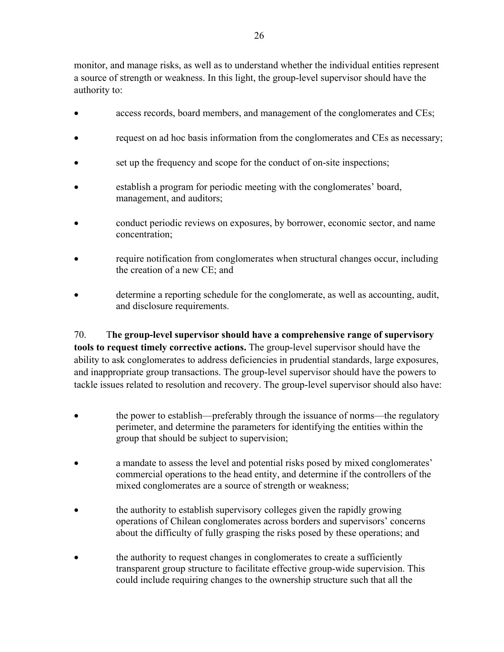monitor, and manage risks, as well as to understand whether the individual entities represent a source of strength or weakness. In this light, the group-level supervisor should have the authority to:

- access records, board members, and management of the conglomerates and CEs;
- request on ad hoc basis information from the conglomerates and CEs as necessary;
- set up the frequency and scope for the conduct of on-site inspections;
- establish a program for periodic meeting with the conglomerates' board, management, and auditors;
- conduct periodic reviews on exposures, by borrower, economic sector, and name concentration;
- require notification from conglomerates when structural changes occur, including the creation of a new CE; and
- determine a reporting schedule for the conglomerate, as well as accounting, audit, and disclosure requirements.

70. T**he group-level supervisor should have a comprehensive range of supervisory tools to request timely corrective actions.** The group-level supervisor should have the ability to ask conglomerates to address deficiencies in prudential standards, large exposures, and inappropriate group transactions. The group-level supervisor should have the powers to tackle issues related to resolution and recovery. The group-level supervisor should also have:

- the power to establish—preferably through the issuance of norms—the regulatory perimeter, and determine the parameters for identifying the entities within the group that should be subject to supervision;
- a mandate to assess the level and potential risks posed by mixed conglomerates' commercial operations to the head entity, and determine if the controllers of the mixed conglomerates are a source of strength or weakness;
- the authority to establish supervisory colleges given the rapidly growing operations of Chilean conglomerates across borders and supervisors' concerns about the difficulty of fully grasping the risks posed by these operations; and
- the authority to request changes in conglomerates to create a sufficiently transparent group structure to facilitate effective group-wide supervision. This could include requiring changes to the ownership structure such that all the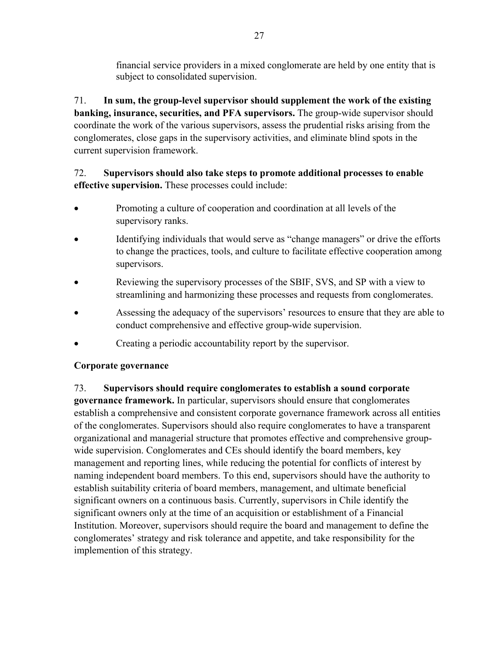financial service providers in a mixed conglomerate are held by one entity that is subject to consolidated supervision.

71. **In sum, the group-level supervisor should supplement the work of the existing banking, insurance, securities, and PFA supervisors.** The group-wide supervisor should coordinate the work of the various supervisors, assess the prudential risks arising from the conglomerates, close gaps in the supervisory activities, and eliminate blind spots in the current supervision framework.

### 72. **Supervisors should also take steps to promote additional processes to enable effective supervision.** These processes could include:

- Promoting a culture of cooperation and coordination at all levels of the supervisory ranks.
- Identifying individuals that would serve as "change managers" or drive the efforts to change the practices, tools, and culture to facilitate effective cooperation among supervisors.
- Reviewing the supervisory processes of the SBIF, SVS, and SP with a view to streamlining and harmonizing these processes and requests from conglomerates.
- Assessing the adequacy of the supervisors' resources to ensure that they are able to conduct comprehensive and effective group-wide supervision.
- Creating a periodic accountability report by the supervisor.

#### **Corporate governance**

### 73. **Supervisors should require conglomerates to establish a sound corporate**

**governance framework.** In particular, supervisors should ensure that conglomerates establish a comprehensive and consistent corporate governance framework across all entities of the conglomerates. Supervisors should also require conglomerates to have a transparent organizational and managerial structure that promotes effective and comprehensive groupwide supervision. Conglomerates and CEs should identify the board members, key management and reporting lines, while reducing the potential for conflicts of interest by naming independent board members. To this end, supervisors should have the authority to establish suitability criteria of board members, management, and ultimate beneficial significant owners on a continuous basis. Currently, supervisors in Chile identify the significant owners only at the time of an acquisition or establishment of a Financial Institution. Moreover, supervisors should require the board and management to define the conglomerates' strategy and risk tolerance and appetite, and take responsibility for the implemention of this strategy.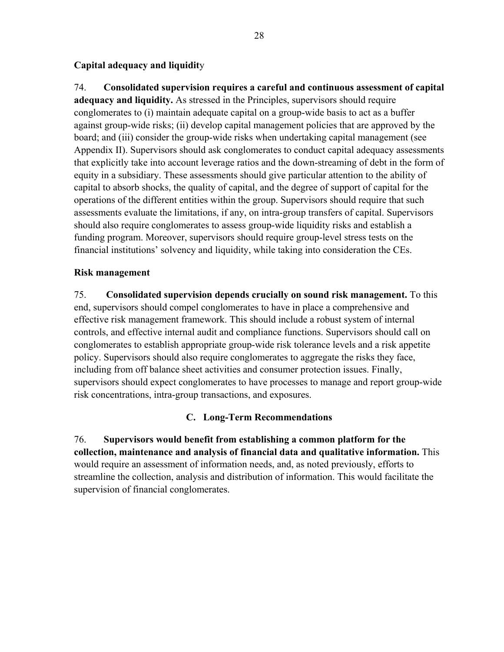#### **Capital adequacy and liquidit**y

74. **Consolidated supervision requires a careful and continuous assessment of capital adequacy and liquidity.** As stressed in the Principles, supervisors should require conglomerates to (i) maintain adequate capital on a group-wide basis to act as a buffer against group-wide risks; (ii) develop capital management policies that are approved by the board; and (iii) consider the group-wide risks when undertaking capital management (see Appendix II). Supervisors should ask conglomerates to conduct capital adequacy assessments that explicitly take into account leverage ratios and the down-streaming of debt in the form of equity in a subsidiary. These assessments should give particular attention to the ability of capital to absorb shocks, the quality of capital, and the degree of support of capital for the operations of the different entities within the group. Supervisors should require that such assessments evaluate the limitations, if any, on intra-group transfers of capital. Supervisors should also require conglomerates to assess group-wide liquidity risks and establish a funding program. Moreover, supervisors should require group-level stress tests on the financial institutions' solvency and liquidity, while taking into consideration the CEs.

#### **Risk management**

75. **Consolidated supervision depends crucially on sound risk management.** To this end, supervisors should compel conglomerates to have in place a comprehensive and effective risk management framework. This should include a robust system of internal controls, and effective internal audit and compliance functions. Supervisors should call on conglomerates to establish appropriate group-wide risk tolerance levels and a risk appetite policy. Supervisors should also require conglomerates to aggregate the risks they face, including from off balance sheet activities and consumer protection issues. Finally, supervisors should expect conglomerates to have processes to manage and report group-wide risk concentrations, intra-group transactions, and exposures.

#### **C. Long-Term Recommendations**

76. **Supervisors would benefit from establishing a common platform for the collection, maintenance and analysis of financial data and qualitative information.** This would require an assessment of information needs, and, as noted previously, efforts to streamline the collection, analysis and distribution of information. This would facilitate the supervision of financial conglomerates.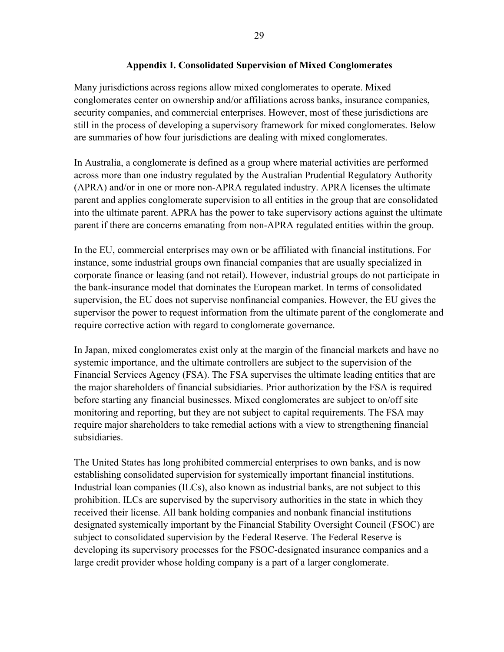#### **Appendix I. Consolidated Supervision of Mixed Conglomerates**

Many jurisdictions across regions allow mixed conglomerates to operate. Mixed conglomerates center on ownership and/or affiliations across banks, insurance companies, security companies, and commercial enterprises. However, most of these jurisdictions are still in the process of developing a supervisory framework for mixed conglomerates. Below are summaries of how four jurisdictions are dealing with mixed conglomerates.

In Australia, a conglomerate is defined as a group where material activities are performed across more than one industry regulated by the Australian Prudential Regulatory Authority (APRA) and/or in one or more non-APRA regulated industry. APRA licenses the ultimate parent and applies conglomerate supervision to all entities in the group that are consolidated into the ultimate parent. APRA has the power to take supervisory actions against the ultimate parent if there are concerns emanating from non-APRA regulated entities within the group.

In the EU, commercial enterprises may own or be affiliated with financial institutions. For instance, some industrial groups own financial companies that are usually specialized in corporate finance or leasing (and not retail). However, industrial groups do not participate in the bank-insurance model that dominates the European market. In terms of consolidated supervision, the EU does not supervise nonfinancial companies. However, the EU gives the supervisor the power to request information from the ultimate parent of the conglomerate and require corrective action with regard to conglomerate governance.

In Japan, mixed conglomerates exist only at the margin of the financial markets and have no systemic importance, and the ultimate controllers are subject to the supervision of the Financial Services Agency (FSA). The FSA supervises the ultimate leading entities that are the major shareholders of financial subsidiaries. Prior authorization by the FSA is required before starting any financial businesses. Mixed conglomerates are subject to on/off site monitoring and reporting, but they are not subject to capital requirements. The FSA may require major shareholders to take remedial actions with a view to strengthening financial subsidiaries.

The United States has long prohibited commercial enterprises to own banks, and is now establishing consolidated supervision for systemically important financial institutions. Industrial loan companies (ILCs), also known as industrial banks, are not subject to this prohibition. ILCs are supervised by the supervisory authorities in the state in which they received their license. All bank holding companies and nonbank financial institutions designated systemically important by the Financial Stability Oversight Council (FSOC) are subject to consolidated supervision by the Federal Reserve. The Federal Reserve is developing its supervisory processes for the FSOC-designated insurance companies and a large credit provider whose holding company is a part of a larger conglomerate.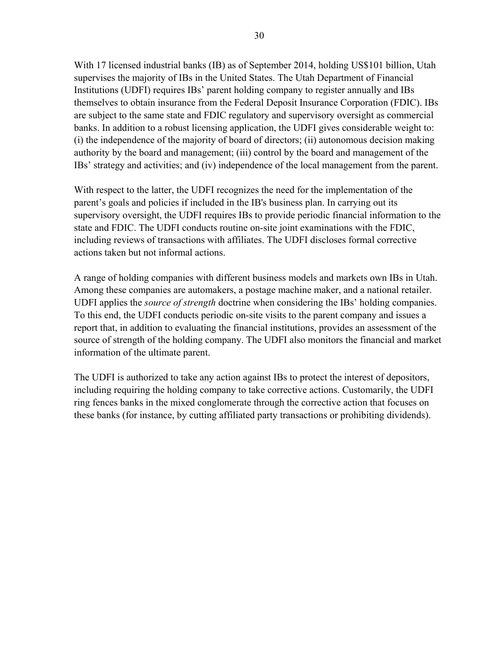With 17 licensed industrial banks (IB) as of September 2014, holding US\$101 billion, Utah supervises the majority of IBs in the United States. The Utah Department of Financial Institutions (UDFI) requires IBs' parent holding company to register annually and IBs themselves to obtain insurance from the Federal Deposit Insurance Corporation (FDIC). IBs are subject to the same state and FDIC regulatory and supervisory oversight as commercial banks. In addition to a robust licensing application, the UDFI gives considerable weight to: (i) the independence of the majority of board of directors; (ii) autonomous decision making authority by the board and management; (iii) control by the board and management of the IBs' strategy and activities; and (iv) independence of the local management from the parent.

With respect to the latter, the UDFI recognizes the need for the implementation of the parent's goals and policies if included in the IB's business plan. In carrying out its supervisory oversight, the UDFI requires IBs to provide periodic financial information to the state and FDIC. The UDFI conducts routine on-site joint examinations with the FDIC, including reviews of transactions with affiliates. The UDFI discloses formal corrective actions taken but not informal actions.

A range of holding companies with different business models and markets own IBs in Utah. Among these companies are automakers, a postage machine maker, and a national retailer. UDFI applies the *source of strength* doctrine when considering the IBs' holding companies. To this end, the UDFI conducts periodic on-site visits to the parent company and issues a report that, in addition to evaluating the financial institutions, provides an assessment of the source of strength of the holding company. The UDFI also monitors the financial and market information of the ultimate parent.

The UDFI is authorized to take any action against IBs to protect the interest of depositors, including requiring the holding company to take corrective actions. Customarily, the UDFI ring fences banks in the mixed conglomerate through the corrective action that focuses on these banks (for instance, by cutting affiliated party transactions or prohibiting dividends).